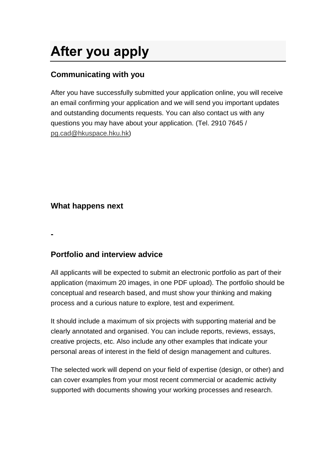# **After you apply**

## **Communicating with you**

After you have successfully submitted your application online, you will receive an email confirming your application and we will send you important updates and outstanding documents requests. You can also contact us with any questions you may have about your application. (Tel. 2910 7645 / [pg.cad@hkuspace.hku.hk\)](mailto:pg.cad@hkuspace.hku.hk)

### **What happens next**

**-**

## **Portfolio and interview advice**

All applicants will be expected to submit an electronic portfolio as part of their application (maximum 20 images, in one PDF upload). The portfolio should be conceptual and research based, and must show your thinking and making process and a curious nature to explore, test and experiment.

It should include a maximum of six projects with supporting material and be clearly annotated and organised. You can include reports, reviews, essays, creative projects, etc. Also include any other examples that indicate your personal areas of interest in the field of design management and cultures.

The selected work will depend on your field of expertise (design, or other) and can cover examples from your most recent commercial or academic activity supported with documents showing your working processes and research.